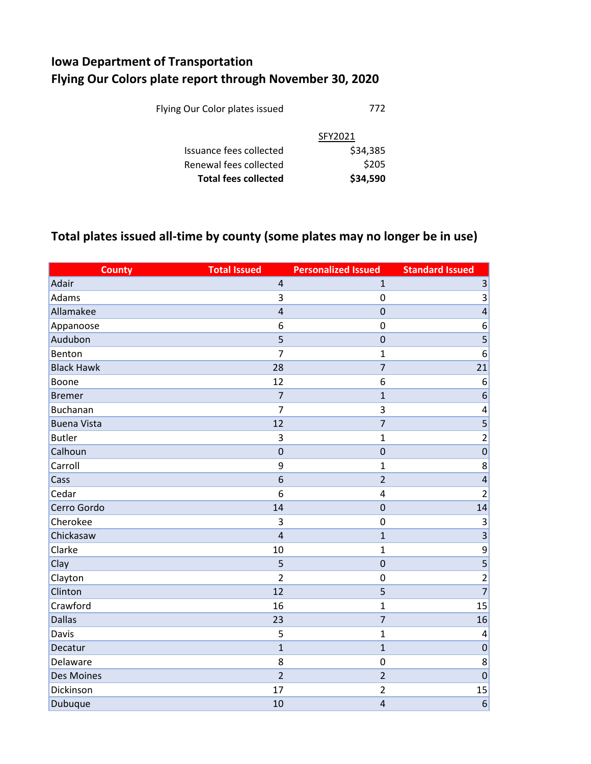## **Iowa Department of Transportation Flying Our Colors plate report through November 30, 2020**

| <b>Total fees collected</b>    | \$34,590 |
|--------------------------------|----------|
| Renewal fees collected         | \$205    |
| Issuance fees collected        | \$34,385 |
|                                | SFY2021  |
|                                | 772      |
| Flying Our Color plates issued |          |

## **Total plates issued all-time by county (some plates may no longer be in use)**

| <b>County</b>      | <b>Total Issued</b> | <b>Personalized Issued</b> | <b>Standard Issued</b>   |
|--------------------|---------------------|----------------------------|--------------------------|
| Adair              | $\overline{4}$      | $\mathbf{1}$               | $\mathsf{3}$             |
| Adams              | 3                   | $\boldsymbol{0}$           | 3                        |
| Allamakee          | $\overline{4}$      | $\mathbf 0$                | $\overline{a}$           |
| Appanoose          | 6                   | $\mathbf 0$                | 6                        |
| Audubon            | 5                   | $\mathbf 0$                | 5                        |
| Benton             | $\overline{7}$      | $\mathbf 1$                | 6                        |
| <b>Black Hawk</b>  | 28                  | $\overline{7}$             | 21                       |
| Boone              | 12                  | 6                          | 6                        |
| <b>Bremer</b>      | $\overline{7}$      | $\mathbf{1}$               | $\boldsymbol{6}$         |
| <b>Buchanan</b>    | $\overline{7}$      | 3                          | 4                        |
| <b>Buena Vista</b> | 12                  | $\overline{7}$             | $\overline{5}$           |
| <b>Butler</b>      | 3                   | $\mathbf 1$                | $\overline{2}$           |
| Calhoun            | $\overline{0}$      | $\mathbf 0$                | $\overline{0}$           |
| Carroll            | 9                   | $\mathbf{1}$               | 8                        |
| Cass               | 6                   | $\overline{2}$             | $\overline{\mathcal{L}}$ |
| Cedar              | 6                   | $\overline{\mathbf{4}}$    | $\overline{2}$           |
| Cerro Gordo        | 14                  | $\overline{0}$             | 14                       |
| Cherokee           | 3                   | $\mathbf 0$                | 3                        |
| Chickasaw          | $\overline{4}$      | $\mathbf{1}$               | $\overline{3}$           |
| Clarke             | 10                  | $\mathbf 1$                | 9                        |
| Clay               | 5                   | $\mathbf 0$                | $\overline{\mathbf{5}}$  |
| Clayton            | $\overline{2}$      | $\mathbf 0$                | $\overline{c}$           |
| Clinton            | 12                  | 5                          | $\overline{7}$           |
| Crawford           | 16                  | $\mathbf 1$                | 15                       |
| <b>Dallas</b>      | 23                  | $\overline{7}$             | 16                       |
| <b>Davis</b>       | 5                   | $\mathbf 1$                | 4                        |
| Decatur            | $\mathbf{1}$        | $\mathbf{1}$               | $\mathbf 0$              |
| Delaware           | 8                   | $\mathbf 0$                | 8                        |
| <b>Des Moines</b>  | $\overline{2}$      | $\overline{2}$             | $\mathbf 0$              |
| Dickinson          | 17                  | $\overline{2}$             | 15                       |
| Dubuque            | 10                  | $\overline{4}$             | $\overline{6}$           |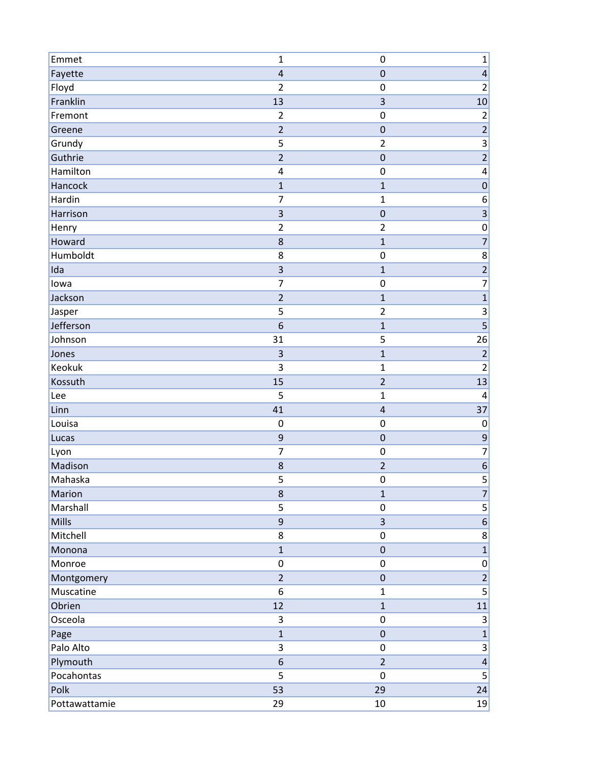| Emmet         | $\mathbf{1}$            | $\mathbf 0$             | $\mathbf 1$                          |
|---------------|-------------------------|-------------------------|--------------------------------------|
| Fayette       | $\overline{\mathbf{r}}$ | $\mathbf 0$             | $\overline{\mathbf{r}}$              |
| Floyd         | $\overline{2}$          | $\boldsymbol{0}$        | $\overline{c}$                       |
| Franklin      | 13                      | $\overline{\mathbf{3}}$ | 10                                   |
| Fremont       | $\overline{2}$          | $\mathbf 0$             | $\overline{\mathbf{c}}$              |
| Greene        | $\overline{2}$          | $\mathbf 0$             | $\overline{2}$                       |
| Grundy        | 5                       | $\overline{2}$          | $\overline{3}$                       |
| Guthrie       | $\overline{2}$          | $\mathbf 0$             | $\overline{2}$                       |
| Hamilton      | 4                       | $\mathbf 0$             | 4                                    |
| Hancock       | $\mathbf{1}$            | $\mathbf{1}$            | $\mathbf{0}$                         |
| Hardin        | $\overline{7}$          | $\mathbf 1$             | 6                                    |
| Harrison      | $\overline{\mathbf{3}}$ | $\mathbf 0$             | $\overline{\mathbf{3}}$              |
| Henry         | $\overline{2}$          | $\overline{2}$          | $\mathbf{0}$                         |
| Howard        | 8                       | $\mathbf{1}$            | $\overline{7}$                       |
| Humboldt      | 8                       | $\mathbf 0$             | 8                                    |
| Ida           | 3                       | $\mathbf{1}$            | $\overline{2}$                       |
| lowa          | $\overline{7}$          | $\boldsymbol{0}$        | $\overline{7}$                       |
| Jackson       | $\overline{2}$          | $\mathbf{1}$            | $\overline{1}$                       |
| Jasper        | 5                       | $\overline{2}$          | $\overline{\mathbf{3}}$              |
| Jefferson     | 6                       | $\mathbf{1}$            | $\overline{\overline{\overline{5}}}$ |
| Johnson       | 31                      | 5                       | 26                                   |
| Jones         | 3                       | $\mathbf{1}$            | $\overline{c}$                       |
| Keokuk        | 3                       | $\mathbf{1}$            | $\overline{2}$                       |
| Kossuth       | 15                      | $\overline{c}$          | 13                                   |
| Lee           | 5                       | 1                       | 4                                    |
| Linn          | 41                      | $\overline{\mathbf{r}}$ | 37                                   |
| Louisa        | $\boldsymbol{0}$        | $\mathbf 0$             | $\mathbf 0$                          |
| Lucas         | 9                       | $\mathbf 0$             | 9                                    |
| Lyon          | $\overline{7}$          | $\boldsymbol{0}$        | $\overline{7}$                       |
| Madison       | 8                       | $\overline{2}$          | $\overline{6}$                       |
| Mahaska       | 5                       | $\mathbf 0$             | 5                                    |
| Marion        | 8                       | $\mathbf{1}$            | $\overline{7}$                       |
| Marshall      | 5                       | $\pmb{0}$               | $\overline{5}$                       |
| Mills         | 9                       | $\overline{3}$          | $6 \overline{6}$                     |
| Mitchell      | 8                       | $\pmb{0}$               | 8 <sup>1</sup>                       |
| Monona        | $\mathbf{1}$            | $\pmb{0}$               | $\overline{1}$                       |
| Monroe        | 0                       | $\boldsymbol{0}$        | $\pmb{0}$                            |
| Montgomery    | $\overline{2}$          | $\pmb{0}$               | $\overline{2}$                       |
| Muscatine     | 6                       | $\mathbf 1$             | 5                                    |
| Obrien        | 12                      | $\mathbf{1}$            | 11                                   |
| Osceola       | 3                       | $\pmb{0}$               | $\mathbf{3}$                         |
| Page          | $\mathbf{1}$            | $\pmb{0}$               | $\mathbf{1}$                         |
| Palo Alto     | 3                       | $\pmb{0}$               | $\overline{3}$                       |
| Plymouth      | 6                       | $\overline{2}$          | $\overline{\mathbf{r}}$              |
| Pocahontas    | 5                       | $\pmb{0}$               | $\overline{5}$                       |
| Polk          | 53                      | 29                      | 24                                   |
| Pottawattamie | 29                      | 10                      | 19                                   |